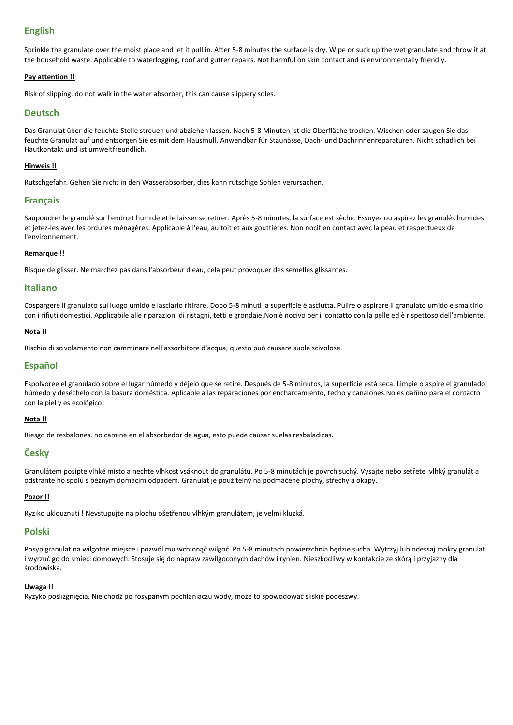## **English**

Sprinkle the granulate over the moist place and let it pull in. After 5-8 minutes the surface is dry. Wipe or suck up the wet granulate and throw it at the household waste. Applicable to waterlogging, roof and gutter repairs. Not harmful on skin contact and is environmentally friendly.

#### **Pay attention !!**

Risk of slipping. do not walk in the water absorber, this can cause slippery soles.

## **Deutsch**

Das Granulat über die feuchte Stelle streuen und abziehen lassen. Nach 5-8 Minuten ist die Oberfläche trocken. Wischen oder saugen Sie das feuchte Granulat auf und entsorgen Sie es mit dem Hausmüll. Anwendbar für Staunässe, Dach- und Dachrinnenreparaturen. Nicht schädlich bei Hautkontakt und ist umweltfreundlich.

#### **Hinweis !!**

Rutschgefahr. Gehen Sie nicht in den Wasserabsorber, dies kann rutschige Sohlen verursachen.

## **Français**

Saupoudrer le granulé sur l'endroit humide et le laisser se retirer. Après 5-8 minutes, la surface est sèche. Essuyez ou aspirez les granulés humides et jetez-les avec les ordures ménagères. Applicable à l'eau, au toit et aux gouttières. Non nocif en contact avec la peau et respectueux de l'environnement.

#### **Remarque !!**

Risque de glisser. Ne marchez pas dans l'absorbeur d'eau, cela peut provoquer des semelles glissantes.

## **Italiano**

Cospargere il granulato sul luogo umido e lasciarlo ritirare. Dopo 5-8 minuti la superficie è asciutta. Pulire o aspirare il granulato umido e smaltirlo con i rifiuti domestici. Applicabile alle riparazioni di ristagni, tetti e grondaie.Non è nocivo per il contatto con la pelle ed è rispettoso dell'ambiente.

#### **Nota !!**

Rischio di scivolamento non camminare nell'assorbitore d'acqua, questo può causare suole scivolose.

## **Español**

Espolvoree el granulado sobre el lugar húmedo y déjelo que se retire. Después de 5-8 minutos, la superficie está seca. Limpie o aspire el granulado húmedo y deséchelo con la basura doméstica. Aplicable a las reparaciones por encharcamiento, techo y canalones.No es dañino para el contacto con la piel y es ecológico.

## **Nota !!**

Riesgo de resbalones. no camine en el absorbedor de agua, esto puede causar suelas resbaladizas.

## **Česky**

Granulátem posipte vlhké místo a nechte vlhkost vsáknout do granulátu. Po 5-8 minutách je povrch suchý. Vysajte nebo setřete vlhký granulát a odstrante ho spolu s běžným domácím odpadem. Granulát je použitelný na podmáčené plochy, střechy a okapy.

#### **Pozor !!**

Ryziko uklouznutí ! Nevstupujte na plochu ošetřenou vlhkým granulátem, je velmi kluzká.

## **Polski**

Posyp granulat na wilgotne miejsce i pozwól mu wchłonąć wilgoć. Po 5-8 minutach powierzchnia będzie sucha. Wytrzyj lub odessaj mokry granulat i wyrzuć go do śmieci domowych. Stosuje się do napraw zawilgoconych dachów i rynien. Nieszkodliwy w kontakcie ze skórą i przyjazny dla środowiska.

#### **Uwaga !!**

Ryzyko poślizgnięcia. Nie chodź po rosypanym pochłaniaczu wody, może to spowodować śliskie podeszwy.